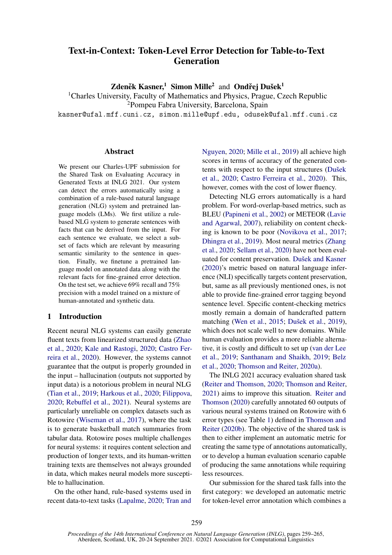# Text-in-Context: Token-Level Error Detection for Table-to-Text Generation

Zdeněk Kasner,<sup>1</sup> Simon Mille<sup>2</sup> and Ondřej Dušek<sup>1</sup>

<sup>1</sup>Charles University, Faculty of Mathematics and Physics, Prague, Czech Republic

<sup>2</sup>Pompeu Fabra University, Barcelona, Spain

kasner@ufal.mff.cuni.cz, simon.mille@upf.edu, odusek@ufal.mff.cuni.cz

#### Abstract

We present our Charles-UPF submission for the Shared Task on Evaluating Accuracy in Generated Texts at INLG 2021. Our system can detect the errors automatically using a combination of a rule-based natural language generation (NLG) system and pretrained language models (LMs). We first utilize a rulebased NLG system to generate sentences with facts that can be derived from the input. For each sentence we evaluate, we select a subset of facts which are relevant by measuring semantic similarity to the sentence in question. Finally, we finetune a pretrained language model on annotated data along with the relevant facts for fine-grained error detection. On the test set, we achieve 69% recall and 75% precision with a model trained on a mixture of human-annotated and synthetic data.

# 1 Introduction

Recent neural NLG systems can easily generate fluent texts from linearized structured data [\(Zhao](#page-6-0) [et al.,](#page-6-0) [2020;](#page-6-0) [Kale and Rastogi,](#page-5-0) [2020;](#page-5-0) [Castro Fer](#page-5-1)[reira et al.,](#page-5-1) [2020\)](#page-5-1). However, the systems cannot guarantee that the output is properly grounded in the input – hallucination (outputs not supported by input data) is a notorious problem in neural NLG [\(Tian et al.,](#page-6-1) [2019;](#page-6-1) [Harkous et al.,](#page-5-2) [2020;](#page-5-2) [Filippova,](#page-5-3) [2020;](#page-5-3) [Rebuffel et al.,](#page-6-2) [2021\)](#page-6-2). Neural systems are particularly unreliable on complex datasets such as Rotowire [\(Wiseman et al.,](#page-6-3) [2017\)](#page-6-3), where the task is to generate basketball match summaries from tabular data. Rotowire poses multiple challenges for neural systems: it requires content selection and production of longer texts, and its human-written training texts are themselves not always grounded in data, which makes neural models more susceptible to hallucination.

On the other hand, rule-based systems used in recent data-to-text tasks [\(Lapalme,](#page-5-4) [2020;](#page-5-4) [Tran and](#page-6-4)

[Nguyen,](#page-6-4) [2020;](#page-6-4) [Mille et al.,](#page-5-5) [2019\)](#page-5-5) all achieve high scores in terms of accuracy of the generated contents with respect to the input structures [\(Dušek](#page-5-6) [et al.,](#page-5-6) [2020;](#page-5-6) [Castro Ferreira et al.,](#page-5-1) [2020\)](#page-5-1). This, however, comes with the cost of lower fluency.

Detecting NLG errors automatically is a hard problem. For word-overlap-based metrics, such as BLEU [\(Papineni et al.,](#page-5-7) [2002\)](#page-5-7) or METEOR [\(Lavie](#page-5-8) [and Agarwal,](#page-5-8) [2007\)](#page-5-8), reliability on content checking is known to be poor [\(Novikova et al.,](#page-5-9) [2017;](#page-5-9) [Dhingra et al.,](#page-5-10) [2019\)](#page-5-10). Most neural metrics [\(Zhang](#page-6-5) [et al.,](#page-6-5) [2020;](#page-6-5) [Sellam et al.,](#page-6-6) [2020\)](#page-6-6) have not been evaluated for content preservation. [Dušek and Kasner](#page-5-11) [\(2020\)](#page-5-11)'s metric based on natural language inference (NLI) specifically targets content preservation, but, same as all previously mentioned ones, is not able to provide fine-grained error tagging beyond sentence level. Specific content-checking metrics mostly remain a domain of handcrafted pattern matching [\(Wen et al.,](#page-6-7) [2015;](#page-6-7) [Dušek et al.,](#page-5-12) [2019\)](#page-5-12), which does not scale well to new domains. While human evaluation provides a more reliable alternative, it is costly and difficult to set up [\(van der Lee](#page-5-13) [et al.,](#page-5-13) [2019;](#page-5-13) [Santhanam and Shaikh,](#page-6-8) [2019;](#page-6-8) [Belz](#page-5-14) [et al.,](#page-5-14) [2020;](#page-5-14) [Thomson and Reiter,](#page-6-9) [2020a\)](#page-6-9).

The INLG 2021 accuracy evaluation shared task [\(Reiter and Thomson,](#page-6-10) [2020;](#page-6-10) [Thomson and Reiter,](#page-6-11) [2021\)](#page-6-11) aims to improve this situation. [Reiter and](#page-6-10) [Thomson](#page-6-10) [\(2020\)](#page-6-10) carefully annotated 60 outputs of various neural systems trained on Rotowire with 6 error types (see Table [1\)](#page-1-0) defined in [Thomson and](#page-6-12) [Reiter](#page-6-12) [\(2020b\)](#page-6-12). The objective of the shared task is then to either implement an automatic metric for creating the same type of annotations automatically, or to develop a human evaluation scenario capable of producing the same annotations while requiring less resources.

Our submission for the shared task falls into the first category: we developed an automatic metric for token-level error annotation which combines a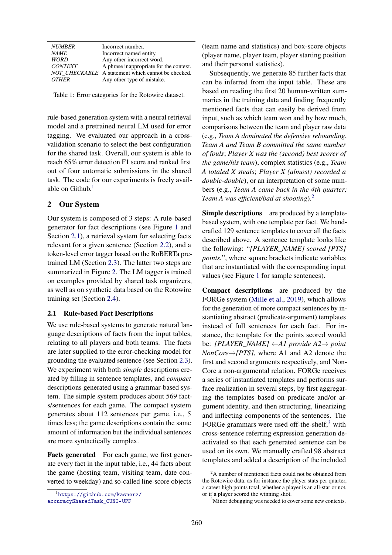<span id="page-1-0"></span>

| <b>NUMBER</b>  | Incorrect number.                                  |
|----------------|----------------------------------------------------|
| <b>NAME</b>    | Incorrect named entity.                            |
| <b>WORD</b>    | Any other incorrect word.                          |
| <b>CONTEXT</b> | A phrase inappropriate for the context.            |
|                | NOT CHECKABLE A statement which cannot be checked. |
| <b>OTHER</b>   | Any other type of mistake.                         |

Table 1: Error categories for the Rotowire dataset.

rule-based generation system with a neural retrieval model and a pretrained neural LM used for error tagging. We evaluated our approach in a crossvalidation scenario to select the best configuration for the shared task. Overall, our system is able to reach 65% error detection F1 score and ranked first out of four automatic submissions in the shared task. The code for our experiments is freely available on Github. $<sup>1</sup>$  $<sup>1</sup>$  $<sup>1</sup>$ </sup>

# 2 Our System

Our system is composed of 3 steps: A rule-based generator for fact descriptions (see Figure [1](#page-2-0) and Section [2.1\)](#page-1-2), a retrieval system for selecting facts relevant for a given sentence (Section [2.2\)](#page-2-1), and a token-level error tagger based on the RoBERTa pretrained LM (Section [2.3\)](#page-2-2). The latter two steps are summarized in Figure [2.](#page-2-3) The LM tagger is trained on examples provided by shared task organizers, as well as on synthetic data based on the Rotowire training set (Section [2.4\)](#page-3-0).

#### <span id="page-1-2"></span>2.1 Rule-based Fact Descriptions

We use rule-based systems to generate natural language descriptions of facts from the input tables, relating to all players and both teams. The facts are later supplied to the error-checking model for grounding the evaluated sentence (see Section [2.3\)](#page-2-2). We experiment with both *simple* descriptions created by filling in sentence templates, and *compact* descriptions generated using a grammar-based system. The simple system produces about 569 facts/sentences for each game. The compact system generates about 112 sentences per game, i.e., 5 times less; the game descriptions contain the same amount of information but the individual sentences are more syntactically complex.

Facts generated For each game, we first generate every fact in the input table, i.e., 44 facts about the game (hosting team, visiting team, date converted to weekday) and so-called line-score objects

<span id="page-1-1"></span>1 [https://github.com/kasnerz/](https://github.com/kasnerz/accuracySharedTask_CUNI-UPF) [accuracySharedTask\\_CUNI-UPF](https://github.com/kasnerz/accuracySharedTask_CUNI-UPF)

(team name and statistics) and box-score objects (player name, player team, player starting position and their personal statistics).

Subsequently, we generate 85 further facts that can be inferred from the input table. These are based on reading the first 20 human-written summaries in the training data and finding frequently mentioned facts that can easily be derived from input, such as which team won and by how much, comparisons between the team and player raw data (e.g., *Team A dominated the defensive rebounding*, *Team A and Team B committed the same number of fouls*; *Player X was the (second) best scorer of the game/his team*), complex statistics (e.g., *Team A totaled X steals*; *Player X (almost) recorded a double-double*), or an interpretation of some numbers (e.g., *Team A came back in the 4th quarter; Team A was efficient/bad at shooting*).[2](#page-1-3)

Simple descriptions are produced by a templatebased system, with one template per fact. We handcrafted 129 sentence templates to cover all the facts described above. A sentence template looks like the following: "*[PLAYER\_NAME] scored [PTS] points.*", where square brackets indicate variables that are instantiated with the corresponding input values (see Figure [1](#page-2-0) for sample sentences).

Compact descriptions are produced by the FORGe system [\(Mille et al.,](#page-5-5) [2019\)](#page-5-5), which allows for the generation of more compact sentences by instantiating abstract (predicate-argument) templates instead of full sentences for each fact. For instance, the template for the points scored would be: *[PLAYER\_NAME]* ←*A1 provide A2*→ *point NonCore*→*[PTS]*, where A1 and A2 denote the first and second arguments respectively, and Non-Core a non-argumental relation. FORGe receives a series of instantiated templates and performs surface realization in several steps, by first aggregating the templates based on predicate and/or argument identity, and then structuring, linearizing and inflecting components of the sentences. The FORGe grammars were used off-the-shelf, $3$  with cross-sentence referring expression generation deactivated so that each generated sentence can be used on its own. We manually crafted 98 abstract templates and added a description of the included

<span id="page-1-3"></span> $2<sup>2</sup>A$  number of mentioned facts could not be obtained from the Rotowire data, as for instance the player stats per quarter, a career high points total, whether a player is an all-star or not, or if a player scored the winning shot.

<span id="page-1-4"></span><sup>&</sup>lt;sup>3</sup>Minor debugging was needed to cover some new contexts.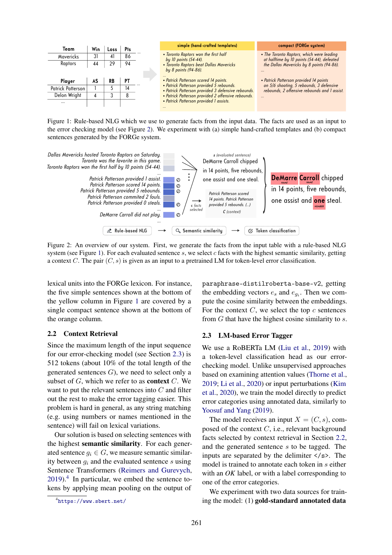<span id="page-2-0"></span>

| Team              | Win | LOSS | Pts | simple (hand-crafted templates)                                                                | compact (FORGe system)                                                                   |
|-------------------|-----|------|-----|------------------------------------------------------------------------------------------------|------------------------------------------------------------------------------------------|
| Mavericks         | 31  | 41   | 86  | • Toronto Raptors won the first half                                                           | • The Toronto Raptors, which were leading                                                |
| Raptors           | 44  | 29   | 94  | by 10 points (54-44).<br>• Toronto Raptors beat Dallas Mavericks                               | at halftime by 10 points (54-44), defeated<br>the Dallas Mavericks by 8 points (94-86).  |
|                   |     |      |     | by 8 points (94-86).                                                                           |                                                                                          |
| Player            | AS  | RB   | РT  | • Patrick Patterson scored 14 points.                                                          | • Patrick Patterson provided 14 points                                                   |
| Patrick Patterson |     |      | 14  | • Patrick Patterson provided 5 rebounds.<br>· Patrick Patterson provided 3 defensive rebounds. | on 5/6 shooting, 5 rebounds, 3 defensive<br>rebounds, 2 offensive rebounds and 1 assist. |
| Delon Wright      | 4   |      |     | · Patrick Patterson provided 2 offensive rebounds.                                             |                                                                                          |
| $\cdots$          |     |      |     | · Patrick Patterson provided 1 assists.                                                        |                                                                                          |

<span id="page-2-3"></span>Figure 1: Rule-based NLG which we use to generate facts from the input data. The facts are used as an input to the error checking model (see Figure [2\)](#page-2-3). We experiment with (a) simple hand-crafted templates and (b) compact sentences generated by the FORGe system.



Figure 2: An overview of our system. First, we generate the facts from the input table with a rule-based NLG system (see Figure [1\)](#page-2-0). For each evaluated sentence  $s$ , we select  $c$  facts with the highest semantic similarity, getting a context C. The pair  $(C, s)$  is given as an input to a pretrained LM for token-level error classification.

lexical units into the FORGe lexicon. For instance, the five simple sentences shown at the bottom of the yellow column in Figure [1](#page-2-0) are covered by a single compact sentence shown at the bottom of the orange column.

# <span id="page-2-1"></span>2.2 Context Retrieval

Since the maximum length of the input sequence for our error-checking model (see Section [2.3\)](#page-2-2) is 512 tokens (about 10% of the total length of the generated sentences  $G$ ), we need to select only a subset of  $G$ , which we refer to as **context**  $C$ . We want to put the relevant sentences into C and filter out the rest to make the error tagging easier. This problem is hard in general, as any string matching (e.g. using numbers or names mentioned in the sentence) will fail on lexical variations.

Our solution is based on selecting sentences with the highest semantic similarity. For each generated sentence  $q_i \in G$ , we measure semantic similarity between  $q_i$  and the evaluated sentence s using Sentence Transformers [\(Reimers and Gurevych,](#page-6-13) [2019\)](#page-6-13).<sup>[4](#page-2-4)</sup> In particular, we embed the sentence tokens by applying mean pooling on the output of

paraphrase-distilroberta-base-v2, getting the embedding vectors  $e_s$  and  $e_{gi}$ . Then we compute the cosine similarity between the embeddings. For the context  $C$ , we select the top  $c$  sentences from  $G$  that have the highest cosine similarity to  $s$ .

### <span id="page-2-2"></span>2.3 LM-based Error Tagger

We use a RoBERTa LM [\(Liu et al.,](#page-5-15) [2019\)](#page-5-15) with a token-level classification head as our errorchecking model. Unlike unsupervised approaches based on examining attention values [\(Thorne et al.,](#page-6-14) [2019;](#page-6-14) [Li et al.,](#page-5-16) [2020\)](#page-5-16) or input perturbations [\(Kim](#page-5-17) [et al.,](#page-5-17) [2020\)](#page-5-17), we train the model directly to predict error categories using annotated data, similarly to [Yoosuf and Yang](#page-6-15) [\(2019\)](#page-6-15).

The model receives an input  $X = (C, s)$ , composed of the context  $C$ , i.e., relevant background facts selected by context retrieval in Section [2.2,](#page-2-1) and the generated sentence s to be tagged. The inputs are separated by the delimiter  $\langle \rangle$ s>. The model is trained to annotate each token in s either with an *OK* label, or with a label corresponding to one of the error categories.

We experiment with two data sources for training the model: (1) gold-standard annotated data

<span id="page-2-4"></span><sup>4</sup> <https://www.sbert.net/>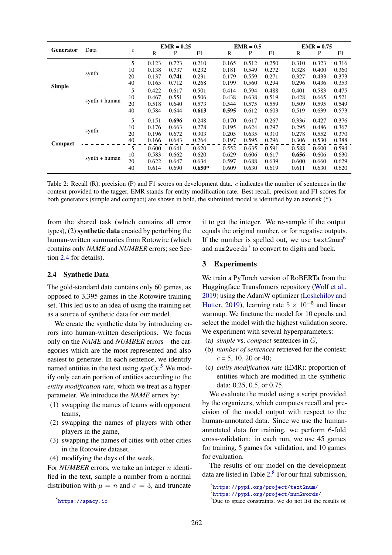<span id="page-3-4"></span>

| <b>Generator</b> | Data            |                  | $EMR = 0.25$ |       | $EMR = 0.5$ |       |       |       | $EMR = 0.75$ |       |       |
|------------------|-----------------|------------------|--------------|-------|-------------|-------|-------|-------|--------------|-------|-------|
|                  |                 | $\boldsymbol{c}$ | R            | P     | F1          | R     | P     | F1    | R            | P     | F1    |
| <b>Simple</b>    | synth           | 5                | 0.123        | 0.723 | 0.210       | 0.165 | 0.512 | 0.250 | 0.310        | 0.323 | 0.316 |
|                  |                 | 10               | 0.138        | 0.737 | 0.232       | 0.181 | 0.549 | 0.272 | 0.328        | 0.400 | 0.360 |
|                  |                 | 20               | 0.137        | 0.741 | 0.231       | 0.179 | 0.559 | 0.271 | 0.327        | 0.433 | 0.373 |
|                  |                 | 40               | 0.165        | 0.712 | 0.268       | 0.199 | 0.560 | 0.294 | 0.296        | 0.436 | 0.353 |
|                  | $synth + human$ | 5                | 0.422        | 0.617 | 0.501       | 0.414 | 0.594 | 0.488 | 0.401        | 0.583 | 0.475 |
|                  |                 | 10               | 0.467        | 0.551 | 0.506       | 0.438 | 0.638 | 0.519 | 0.428        | 0.665 | 0.521 |
|                  |                 | 20               | 0.518        | 0.640 | 0.573       | 0.544 | 0.575 | 0.559 | 0.509        | 0.595 | 0.549 |
|                  |                 | 40               | 0.584        | 0.644 | 0.613       | 0.595 | 0.612 | 0.603 | 0.519        | 0.639 | 0.573 |
| Compact          | synth           | 5                | 0.151        | 0.696 | 0.248       | 0.170 | 0.617 | 0.267 | 0.336        | 0.427 | 0.376 |
|                  |                 | 10               | 0.176        | 0.663 | 0.278       | 0.195 | 0.624 | 0.297 | 0.295        | 0.486 | 0.367 |
|                  |                 | 20               | 0.196        | 0.672 | 0.303       | 0.205 | 0.635 | 0.310 | 0.278        | 0.552 | 0.370 |
|                  |                 | 40               | 0.166        | 0.643 | 0.264       | 0.197 | 0.595 | 0.296 | 0.306        | 0.530 | 0.388 |
|                  | $synth + human$ | 5                | 0.600        | 0.641 | 0.620       | 0.552 | 0.635 | 0.591 | 0.588        | 0.600 | 0.594 |
|                  |                 | 10               | 0.583        | 0.662 | 0.620       | 0.629 | 0.606 | 0.617 | 0.656        | 0.606 | 0.630 |
|                  |                 | 20               | 0.622        | 0.647 | 0.634       | 0.597 | 0.688 | 0.639 | 0.600        | 0.660 | 0.629 |
|                  |                 | 40               | 0.614        | 0.690 | $0.650*$    | 0.609 | 0.630 | 0.619 | 0.611        | 0.630 | 0.620 |

Table 2: Recall (R), precision (P) and F1 scores on development data. c indicates the number of sentences in the context provided to the tagger, EMR stands for entity modification rate. Best recall, precision and F1 scores for both generators (simple and compact) are shown in bold, the submitted model is identified by an asterisk (\*).

from the shared task (which contains all error types), (2) synthetic data created by perturbing the human-written summaries from Rotowire (which contains only *NAME* and *NUMBER* errors; see Section [2.4](#page-3-0) for details).

#### <span id="page-3-0"></span>2.4 Synthetic Data

The gold-standard data contains only 60 games, as opposed to 3,395 games in the Rotowire training set. This led us to an idea of using the training set as a source of synthetic data for our model.

We create the synthetic data by introducing errors into human-written descriptions. We focus only on the *NAME* and *NUMBER* errors—the categories which are the most represented and also easiest to generate. In each sentence, we identify named entities in the text using *spaCy*. [5](#page-3-1) We modify only certain portion of entities according to the *entity modification rate*, which we treat as a hyperparameter. We introduce the *NAME* errors by:

- (1) swapping the names of teams with opponent teams,
- (2) swapping the names of players with other players in the game,
- (3) swapping the names of cities with other cities in the Rotowire dataset,
- (4) modifying the days of the week.

For *NUMBER* errors, we take an integer *n* identified in the text, sample a number from a normal distribution with  $\mu = n$  and  $\sigma = 3$ , and truncate it to get the integer. We re-sample if the output equals the original number, or for negative outputs. If the number is spelled out, we use  $text{2num}^6$  $text{2num}^6$ and num2words<sup>[7](#page-3-3)</sup> to convert to digits and back.

#### 3 Experiments

We train a PyTorch version of RoBERTa from the Huggingface Transfomers repository [\(Wolf et al.,](#page-6-16) [2019\)](#page-6-16) using the AdamW optimizer [\(Loshchilov and](#page-5-18) [Hutter,](#page-5-18) [2019\)](#page-5-18), learning rate  $5 \times 10^{-5}$  and linear warmup. We finetune the model for 10 epochs and select the model with the highest validation score. We experiment with several hyperparameters:

- (a) *simple* vs. *compact* sentences in G,
- (b) *number of sentences* retrieved for the context:  $c = 5$ , 10, 20 or 40;
- (c) *entity modification rate* (EMR): proportion of entities which are modified in the synthetic data: 0.25, 0.5, or 0.75.

We evaluate the model using a script provided by the organizers, which computes recall and precision of the model output with respect to the human-annotated data. Since we use the humanannotated data for training, we perform 6-fold cross-validation: in each run, we use 45 games for training, 5 games for validation, and 10 games for evaluation.

The results of our model on the development data are listed in Table [2.](#page-3-4) [8](#page-3-5) For our final submission,

<span id="page-3-1"></span> $5$ <https://spacy.io>

<span id="page-3-2"></span><sup>6</sup> <https://pypi.org/project/text2num/>

<span id="page-3-3"></span><sup>7</sup> <https://pypi.org/project/num2words/>

<span id="page-3-5"></span><sup>8</sup>Due to space constraints, we do not list the results of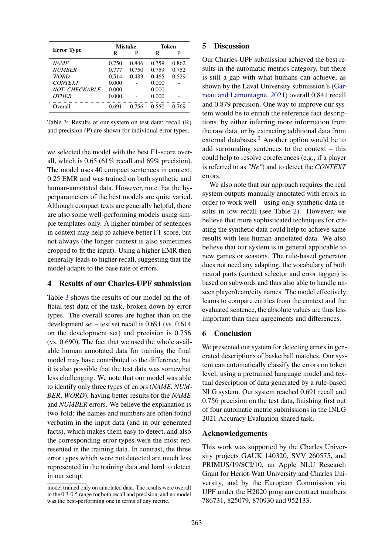<span id="page-4-0"></span>

|                      |       | <b>Mistake</b> | Token |       |  |
|----------------------|-------|----------------|-------|-------|--|
| <b>Error</b> Type    | R     | P              | R     | P     |  |
| <b>NAME</b>          | 0.750 | 0.846          | 0.759 | 0.862 |  |
| <b>NUMBER</b>        | 0.777 | 0.750          | 0.759 | 0.752 |  |
| <b>WORD</b>          | 0.514 | 0.483          | 0.465 | 0.529 |  |
| <b>CONTEXT</b>       | 0.000 |                | 0.000 |       |  |
| <b>NOT CHECKABLE</b> | 0.000 |                | 0.000 |       |  |
| <b>OTHER</b>         | 0.000 |                | 0.000 |       |  |
| Overall              | 0.691 | 0.756          | 0.550 | 0.769 |  |

Table 3: Results of our system on test data: recall (R) and precision (P) are shown for individual error types.

we selected the model with the best F1-score overall, which is 0.65 (61% recall and 69% precision). The model uses 40 compact sentences in context, 0.25 EMR and was trained on both synthetic and human-annotated data. However, note that the hyperparameters of the best models are quite varied. Although compact texts are generally helpful, there are also some well-performing models using simple templates only. A higher number of sentences in context may help to achieve better F1-score, but not always (the longer context is also sometimes cropped to fit the input). Using a higher EMR then generally leads to higher recall, suggesting that the model adapts to the base rate of errors.

#### 4 Results of our Charles-UPF submission

Table [3](#page-4-0) shows the results of our model on the official test data of the task, broken down by error types. The overall scores are higher than on the development set – test set recall is 0.691 (vs. 0.614 on the development set) and precision is 0.756 (vs. 0.690). The fact that we used the whole available human annotated data for training the final model may have contributed to the difference, but it is also possible that the test data was somewhat less challenging. We note that our model was able to identify only three types of errors (*NAME*, *NUM-BER*, *WORD*), having better results for the *NAME* and *NUMBER* errors. We believe the explanation is two-fold: the names and numbers are often found verbatim in the input data (and in our generated facts), which makes them easy to detect, and also the corresponding error types were the most represented in the training data. In contrast, the three error types which were not detected are much less represented in the training data and hard to detect in our setup.

#### 5 Discussion

Our Charles-UPF submission achieved the best results in the automatic metrics category, but there is still a gap with what humans can achieve, as shown by the Laval University submission's [\(Gar](#page-5-19)[neau and Lamontagne,](#page-5-19) [2021\)](#page-5-19) overall 0.841 recall and 0.879 precision. One way to improve our system would be to enrich the reference fact descriptions, by either inferring more information from the raw data, or by extracting additional data from external databases.<sup>[2](#page-1-3)</sup> Another option would be to add surrounding sentences to the context – this could help to resolve coreferences (e.g., if a player is referred to as *"He"*) and to detect the *CONTEXT* errors.

We also note that our approach requires the real system outputs manually annotated with errors in order to work well – using only synthetic data results in low recall (see Table [2\)](#page-3-4). However, we believe that more sophisticated techniques for creating the synthetic data could help to achieve same results with less human-annotated data. We also believe that our system is in general applicable to new games or seasons. The rule-based generator does not need any adapting, the vocabulary of both neural parts (context selector and error tagger) is based on subwords and thus also able to handle unseen player/team/city names. The model effectively learns to compare entities from the context and the evaluated sentence, the absolute values are thus less important than their agreements and differences.

# 6 Conclusion

We presented our system for detecting errors in generated descriptions of basketball matches. Our system can automatically classify the errors on token level, using a pretrained language model and textual description of data generated by a rule-based NLG system. Our system reached 0.691 recall and 0.756 precision on the test data, finishing first out of four automatic metric submissions in the INLG 2021 Accuracy Evaluation shared task.

### Acknowledgements

This work was supported by the Charles University projects GAUK 140320, SVV 260575, and PRIMUS/19/SCI/10, an Apple NLU Research Grant for Heriot-Watt University and Charles University, and by the European Commission via UPF under the H2020 program contract numbers 786731, 825079, 870930 and 952133.

model trained only on annotated data. The results were overall in the 0.3-0.5 range for both recall and precision, and no model was the best-performing one in terms of any metric.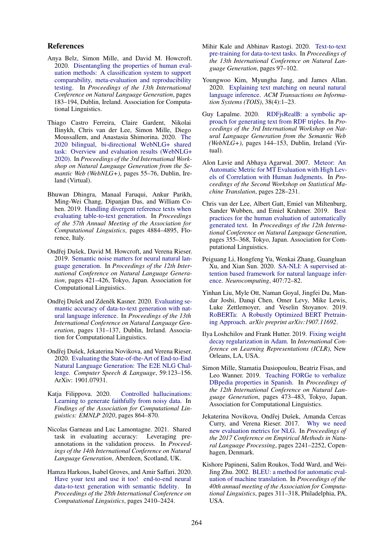#### References

- <span id="page-5-14"></span>Anya Belz, Simon Mille, and David M. Howcroft. 2020. [Disentangling the properties of human eval](https://www.aclweb.org/anthology/2020.inlg-1.24)[uation methods: A classification system to support](https://www.aclweb.org/anthology/2020.inlg-1.24) [comparability, meta-evaluation and reproducibility](https://www.aclweb.org/anthology/2020.inlg-1.24) [testing.](https://www.aclweb.org/anthology/2020.inlg-1.24) In *Proceedings of the 13th International Conference on Natural Language Generation*, pages 183–194, Dublin, Ireland. Association for Computational Linguistics.
- <span id="page-5-1"></span>Thiago Castro Ferreira, Claire Gardent, Nikolai Ilinykh, Chris van der Lee, Simon Mille, Diego Moussallem, and Anastasia Shimorina. 2020. [The](https://aclanthology.org/2020.webnlg-1.7) [2020 bilingual, bi-directional WebNLG+ shared](https://aclanthology.org/2020.webnlg-1.7) [task: Overview and evaluation results \(WebNLG+](https://aclanthology.org/2020.webnlg-1.7) [2020\).](https://aclanthology.org/2020.webnlg-1.7) In *Proceedings of the 3rd International Workshop on Natural Language Generation from the Semantic Web (WebNLG+)*, pages 55–76, Dublin, Ireland (Virtual).
- <span id="page-5-10"></span>Bhuwan Dhingra, Manaal Faruqui, Ankur Parikh, Ming-Wei Chang, Dipanjan Das, and William Cohen. 2019. [Handling divergent reference texts when](https://doi.org/10.18653/v1/P19-1483) [evaluating table-to-text generation.](https://doi.org/10.18653/v1/P19-1483) In *Proceedings of the 57th Annual Meeting of the Association for Computational Linguistics*, pages 4884–4895, Florence, Italy.
- <span id="page-5-12"></span>Ondřej Dušek, David M. Howcroft, and Verena Rieser. 2019. [Semantic noise matters for neural natural lan](https://doi.org/10.18653/v1/W19-8652)[guage generation.](https://doi.org/10.18653/v1/W19-8652) In *Proceedings of the 12th International Conference on Natural Language Generation*, pages 421–426, Tokyo, Japan. Association for Computational Linguistics.
- <span id="page-5-11"></span>Ondřej Dušek and Zdeněk Kasner. 2020. [Evaluating se](https://www.aclweb.org/anthology/2020.inlg-1.19)[mantic accuracy of data-to-text generation with nat](https://www.aclweb.org/anthology/2020.inlg-1.19)[ural language inference.](https://www.aclweb.org/anthology/2020.inlg-1.19) In *Proceedings of the 13th International Conference on Natural Language Generation*, pages 131–137, Dublin, Ireland. Association for Computational Linguistics.
- <span id="page-5-6"></span>Ondřej Dušek, Jekaterina Novikova, and Verena Rieser. 2020. [Evaluating the State-of-the-Art of End-to-End](https://doi.org/10.1016/j.csl.2019.06.009) [Natural Language Generation: The E2E NLG Chal](https://doi.org/10.1016/j.csl.2019.06.009)[lenge.](https://doi.org/10.1016/j.csl.2019.06.009) *Computer Speech & Language*, 59:123–156. ArXiv: 1901.07931.
- <span id="page-5-3"></span>Katia Filippova. 2020. [Controlled hallucinations:](https://doi.org/10.18653/v1/2020.findings-emnlp.76) [Learning to generate faithfully from noisy data.](https://doi.org/10.18653/v1/2020.findings-emnlp.76) In *Findings of the Association for Computational Linguistics: EMNLP 2020*, pages 864–870.
- <span id="page-5-19"></span>Nicolas Garneau and Luc Lamontagne. 2021. Shared task in evaluating accuracy: Leveraging preannotations in the validation process. In *Proceedings of the 14th International Conference on Natural Language Generation*, Aberdeen, Scotland, UK.
- <span id="page-5-2"></span>Hamza Harkous, Isabel Groves, and Amir Saffari. 2020. [Have your text and use it too! end-to-end neural](https://doi.org/10.18653/v1/2020.coling-main.218) [data-to-text generation with semantic fidelity.](https://doi.org/10.18653/v1/2020.coling-main.218) In *Proceedings of the 28th International Conference on Computational Linguistics*, pages 2410–2424.
- <span id="page-5-0"></span>Mihir Kale and Abhinav Rastogi. 2020. [Text-to-text](https://aclanthology.org/2020.inlg-1.14) [pre-training for data-to-text tasks.](https://aclanthology.org/2020.inlg-1.14) In *Proceedings of the 13th International Conference on Natural Language Generation*, pages 97–102.
- <span id="page-5-17"></span>Youngwoo Kim, Myungha Jang, and James Allan. 2020. [Explaining text matching on neural natural](https://doi.org/10.1145/3418052) [language inference.](https://doi.org/10.1145/3418052) *ACM Transactions on Information Systems (TOIS)*, 38(4):1–23.
- <span id="page-5-4"></span>Guy Lapalme. 2020. [RDFjsRealB: a symbolic ap](https://aclanthology.org/2020.webnlg-1.16)[proach for generating text from RDF triples.](https://aclanthology.org/2020.webnlg-1.16) In *Proceedings of the 3rd International Workshop on Natural Language Generation from the Semantic Web (WebNLG+)*, pages 144–153, Dublin, Ireland (Virtual).
- <span id="page-5-8"></span>Alon Lavie and Abhaya Agarwal. 2007. [Meteor: An](https://www.aclweb.org/anthology/W07-0734) [Automatic Metric for MT Evaluation with High Lev](https://www.aclweb.org/anthology/W07-0734)[els of Correlation with Human Judgments.](https://www.aclweb.org/anthology/W07-0734) In *Proceedings of the Second Workshop on Statistical Machine Translation*, pages 228–231.
- <span id="page-5-13"></span>Chris van der Lee, Albert Gatt, Emiel van Miltenburg, Sander Wubben, and Emiel Krahmer. 2019. [Best](https://doi.org/10.18653/v1/W19-8643) [practices for the human evaluation of automatically](https://doi.org/10.18653/v1/W19-8643) [generated text.](https://doi.org/10.18653/v1/W19-8643) In *Proceedings of the 12th International Conference on Natural Language Generation*, pages 355–368, Tokyo, Japan. Association for Computational Linguistics.
- <span id="page-5-16"></span>Peiguang Li, Hongfeng Yu, Wenkai Zhang, Guangluan Xu, and Xian Sun. 2020. [SA-NLI: A supervised at](https://doi.org/10.1016/j.neucom.2020.03.092)[tention based framework for natural language infer](https://doi.org/10.1016/j.neucom.2020.03.092)[ence.](https://doi.org/10.1016/j.neucom.2020.03.092) *Neurocomputing*, 407:72–82.
- <span id="page-5-15"></span>Yinhan Liu, Myle Ott, Naman Goyal, Jingfei Du, Mandar Joshi, Danqi Chen, Omer Levy, Mike Lewis, Luke Zettlemoyer, and Veselin Stoyanov. 2019. [RoBERTa: A Robustly Optimized BERT Pretrain](http://arxiv.org/abs/1907.11692)[ing Approach.](http://arxiv.org/abs/1907.11692) *arXiv preprint arXiv:1907.11692*.
- <span id="page-5-18"></span>Ilya Loshchilov and Frank Hutter. 2019. [Fixing weight](https://openreview.net/forum?id=Bkg6RiCqY7) [decay regularization in Adam.](https://openreview.net/forum?id=Bkg6RiCqY7) In *International Conference on Learning Representations (ICLR)*, New Orleans, LA, USA.
- <span id="page-5-5"></span>Simon Mille, Stamatia Dasiopoulou, Beatriz Fisas, and Leo Wanner. 2019. [Teaching FORGe to verbalize](https://doi.org/10.18653/v1/W19-8659) [DBpedia properties in Spanish.](https://doi.org/10.18653/v1/W19-8659) In *Proceedings of the 12th International Conference on Natural Language Generation*, pages 473–483, Tokyo, Japan. Association for Computational Linguistics.
- <span id="page-5-9"></span>Jekaterina Novikova, Ondřej Dušek, Amanda Cercas Curry, and Verena Rieser. 2017. [Why we need](https://doi.org/10.18653/v1/D17-1238) [new evaluation metrics for NLG.](https://doi.org/10.18653/v1/D17-1238) In *Proceedings of the 2017 Conference on Empirical Methods in Natural Language Processing*, pages 2241–2252, Copenhagen, Denmark.
- <span id="page-5-7"></span>Kishore Papineni, Salim Roukos, Todd Ward, and Wei-Jing Zhu. 2002. [BLEU: a method for automatic eval](https://www.aclweb.org/anthology/P02-1040)[uation of machine translation.](https://www.aclweb.org/anthology/P02-1040) In *Proceedings of the 40th annual meeting of the Association for Computational Linguistics*, pages 311–318, Philadelphia, PA, USA.